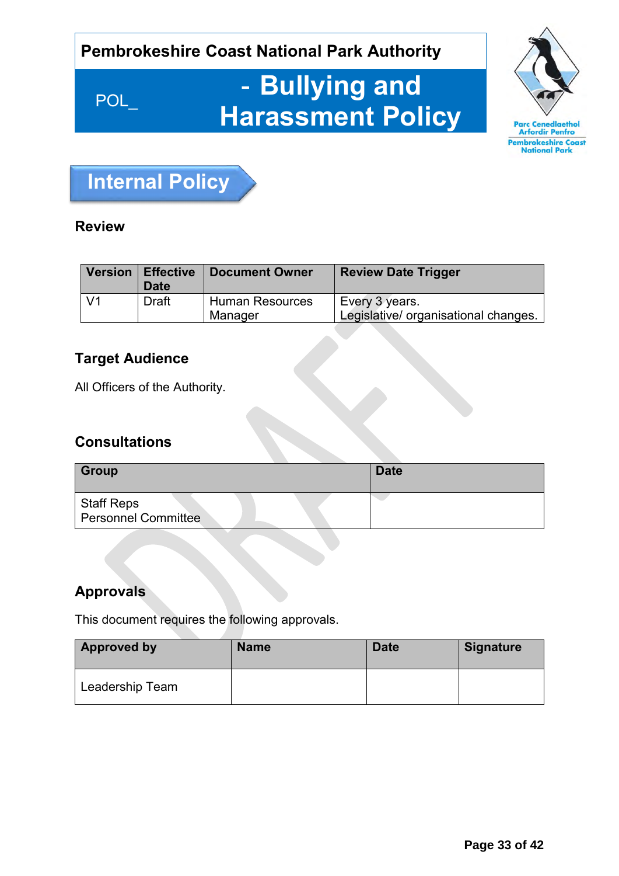## **Pembrokeshire Coast National Park Authority**

# POL\_ - **Bullying and Harassment Policy**





## **Review**

| Version        | Effective<br><b>Date</b> | <b>Document Owner</b>             | <b>Review Date Trigger</b>                             |
|----------------|--------------------------|-----------------------------------|--------------------------------------------------------|
| V <sub>1</sub> | <b>Draft</b>             | <b>Human Resources</b><br>Manager | Every 3 years.<br>Legislative/ organisational changes. |

## **Target Audience**

All Officers of the Authority.

## **Consultations**

| Group                                           | <b>Date</b> |
|-------------------------------------------------|-------------|
| <b>Staff Reps</b><br><b>Personnel Committee</b> |             |

## **Approvals**

This document requires the following approvals.

| <b>Approved by</b> | <b>Name</b> | <b>Date</b> | <b>Signature</b> |
|--------------------|-------------|-------------|------------------|
| Leadership Team    |             |             |                  |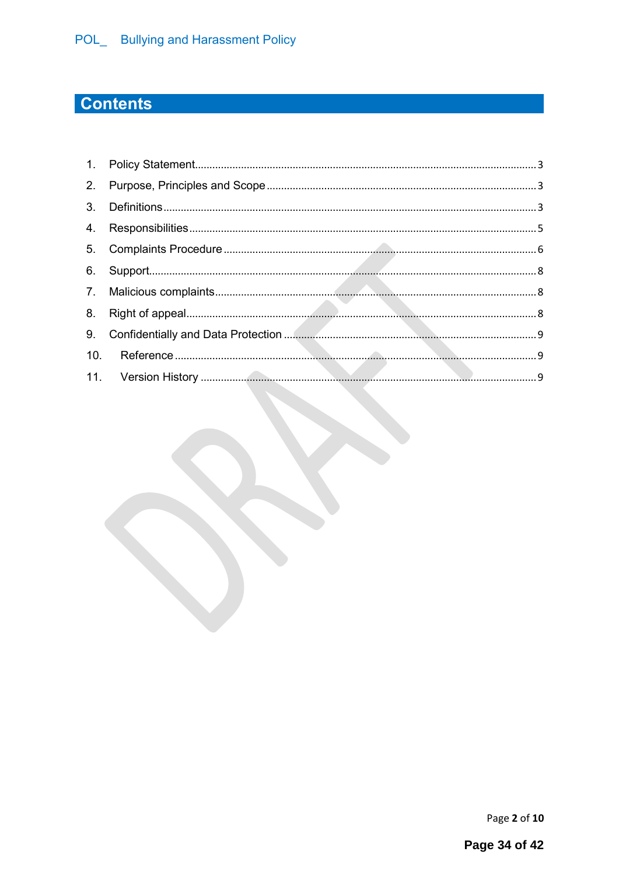## **Contents**

Page 2 of 10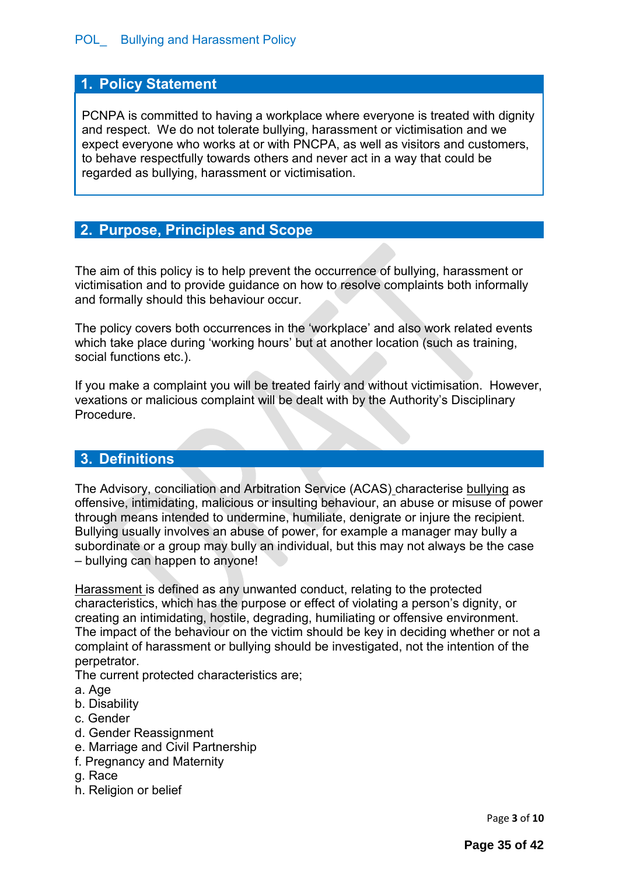## <span id="page-2-0"></span>**1. Policy Statement**

PCNPA is committed to having a workplace where everyone is treated with dignity and respect. We do not tolerate bullying, harassment or victimisation and we expect everyone who works at or with PNCPA, as well as visitors and customers, to behave respectfully towards others and never act in a way that could be regarded as bullying, harassment or victimisation.

## <span id="page-2-1"></span>**2. Purpose, Principles and Scope**

The aim of this policy is to help prevent the occurrence of bullying, harassment or victimisation and to provide guidance on how to resolve complaints both informally and formally should this behaviour occur.

The policy covers both occurrences in the 'workplace' and also work related events which take place during 'working hours' but at another location (such as training, social functions etc.).

If you make a complaint you will be treated fairly and without victimisation. However, vexations or malicious complaint will be dealt with by the Authority's Disciplinary Procedure.

## <span id="page-2-2"></span>**3. Definitions**

The Advisory, conciliation and Arbitration Service (ACAS) characterise bullying as offensive, intimidating, malicious or insulting behaviour, an abuse or misuse of power through means intended to undermine, humiliate, denigrate or injure the recipient. Bullying usually involves an abuse of power, for example a manager may bully a subordinate or a group may bully an individual, but this may not always be the case – bullying can happen to anyone!

Harassment is defined as any unwanted conduct, relating to the protected characteristics, which has the purpose or effect of violating a person's dignity, or creating an intimidating, hostile, degrading, humiliating or offensive environment. The impact of the behaviour on the victim should be key in deciding whether or not a complaint of harassment or bullying should be investigated, not the intention of the perpetrator.

The current protected characteristics are;

#### a. Age

- b. Disability
- c. Gender
- d. Gender Reassignment
- e. Marriage and Civil Partnership
- f. Pregnancy and Maternity
- g. Race
- h. Religion or belief

Page **3** of **10**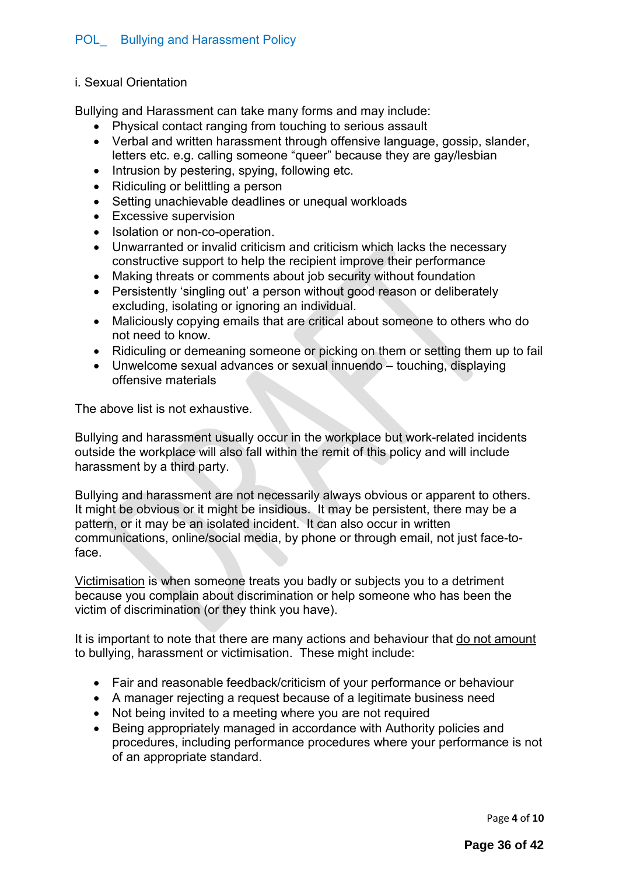#### i. Sexual Orientation

Bullying and Harassment can take many forms and may include:

- Physical contact ranging from touching to serious assault
- Verbal and written harassment through offensive language, gossip, slander, letters etc. e.g. calling someone "queer" because they are gay/lesbian
- Intrusion by pestering, spying, following etc.
- Ridiculing or belittling a person
- Setting unachievable deadlines or unequal workloads
- Excessive supervision
- Isolation or non-co-operation.
- Unwarranted or invalid criticism and criticism which lacks the necessary constructive support to help the recipient improve their performance
- Making threats or comments about job security without foundation
- Persistently 'singling out' a person without good reason or deliberately excluding, isolating or ignoring an individual.
- Maliciously copying emails that are critical about someone to others who do not need to know.
- Ridiculing or demeaning someone or picking on them or setting them up to fail
- Unwelcome sexual advances or sexual innuendo touching, displaying offensive materials

The above list is not exhaustive.

Bullying and harassment usually occur in the workplace but work-related incidents outside the workplace will also fall within the remit of this policy and will include harassment by a third party.

Bullying and harassment are not necessarily always obvious or apparent to others. It might be obvious or it might be insidious. It may be persistent, there may be a pattern, or it may be an isolated incident. It can also occur in written communications, online/social media, by phone or through email, not just face-toface.

Victimisation is when someone treats you badly or subjects you to a detriment because you complain about discrimination or help someone who has been the victim of discrimination (or they think you have).

It is important to note that there are many actions and behaviour that do not amount to bullying, harassment or victimisation. These might include:

- Fair and reasonable feedback/criticism of your performance or behaviour
- A manager rejecting a request because of a legitimate business need
- Not being invited to a meeting where you are not required
- Being appropriately managed in accordance with Authority policies and procedures, including performance procedures where your performance is not of an appropriate standard.

Page **4** of **10**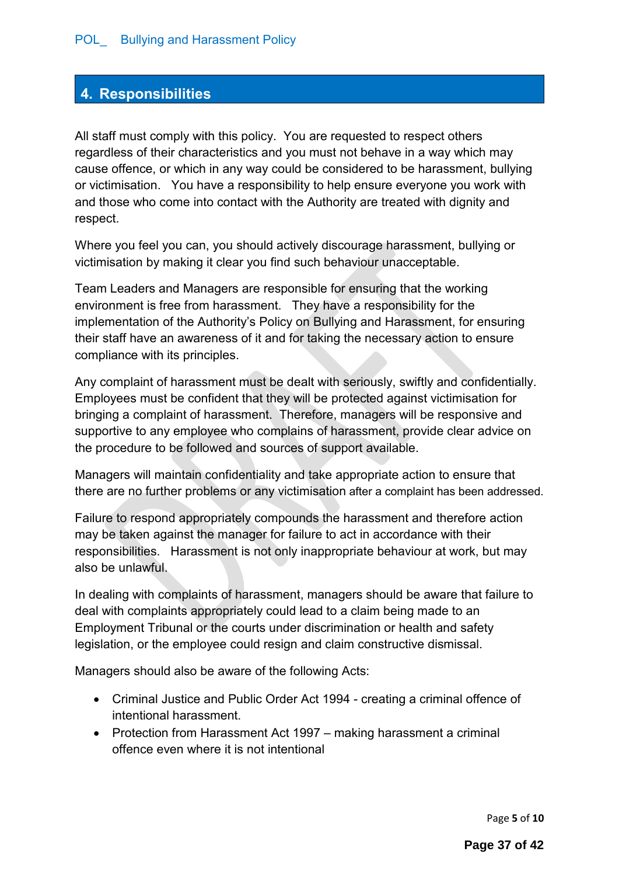## <span id="page-4-0"></span>**4. Responsibilities**

All staff must comply with this policy. You are requested to respect others regardless of their characteristics and you must not behave in a way which may cause offence, or which in any way could be considered to be harassment, bullying or victimisation. You have a responsibility to help ensure everyone you work with and those who come into contact with the Authority are treated with dignity and respect.

Where you feel you can, you should actively discourage harassment, bullying or victimisation by making it clear you find such behaviour unacceptable.

Team Leaders and Managers are responsible for ensuring that the working environment is free from harassment. They have a responsibility for the implementation of the Authority's Policy on Bullying and Harassment, for ensuring their staff have an awareness of it and for taking the necessary action to ensure compliance with its principles.

Any complaint of harassment must be dealt with seriously, swiftly and confidentially. Employees must be confident that they will be protected against victimisation for bringing a complaint of harassment. Therefore, managers will be responsive and supportive to any employee who complains of harassment, provide clear advice on the procedure to be followed and sources of support available.

Managers will maintain confidentiality and take appropriate action to ensure that there are no further problems or any victimisation after a complaint has been addressed.

Failure to respond appropriately compounds the harassment and therefore action may be taken against the manager for failure to act in accordance with their responsibilities. Harassment is not only inappropriate behaviour at work, but may also be unlawful.

In dealing with complaints of harassment, managers should be aware that failure to deal with complaints appropriately could lead to a claim being made to an Employment Tribunal or the courts under discrimination or health and safety legislation, or the employee could resign and claim constructive dismissal.

Managers should also be aware of the following Acts:

- Criminal Justice and Public Order Act 1994 creating a criminal offence of intentional harassment.
- Protection from Harassment Act 1997 making harassment a criminal offence even where it is not intentional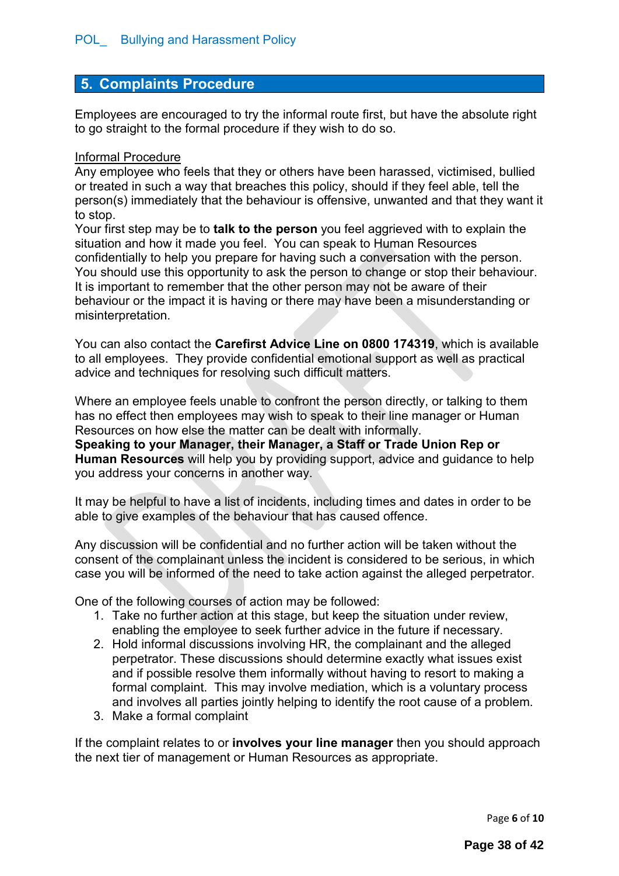### <span id="page-5-0"></span>**5. Complaints Procedure**

Employees are encouraged to try the informal route first, but have the absolute right to go straight to the formal procedure if they wish to do so.

#### Informal Procedure

Any employee who feels that they or others have been harassed, victimised, bullied or treated in such a way that breaches this policy, should if they feel able, tell the person(s) immediately that the behaviour is offensive, unwanted and that they want it to stop.

Your first step may be to **talk to the person** you feel aggrieved with to explain the situation and how it made you feel. You can speak to Human Resources confidentially to help you prepare for having such a conversation with the person. You should use this opportunity to ask the person to change or stop their behaviour. It is important to remember that the other person may not be aware of their behaviour or the impact it is having or there may have been a misunderstanding or misinterpretation.

You can also contact the **Carefirst Advice Line on 0800 174319**, which is available to all employees. They provide confidential emotional support as well as practical advice and techniques for resolving such difficult matters.

Where an employee feels unable to confront the person directly, or talking to them has no effect then employees may wish to speak to their line manager or Human Resources on how else the matter can be dealt with informally.

**Speaking to your Manager, their Manager, a Staff or Trade Union Rep or Human Resources** will help you by providing support, advice and guidance to help you address your concerns in another way.

It may be helpful to have a list of incidents, including times and dates in order to be able to give examples of the behaviour that has caused offence.

Any discussion will be confidential and no further action will be taken without the consent of the complainant unless the incident is considered to be serious, in which case you will be informed of the need to take action against the alleged perpetrator.

One of the following courses of action may be followed:

- 1. Take no further action at this stage, but keep the situation under review, enabling the employee to seek further advice in the future if necessary.
- 2. Hold informal discussions involving HR, the complainant and the alleged perpetrator. These discussions should determine exactly what issues exist and if possible resolve them informally without having to resort to making a formal complaint. This may involve mediation, which is a voluntary process and involves all parties jointly helping to identify the root cause of a problem.
- 3. Make a formal complaint

If the complaint relates to or **involves your line manager** then you should approach the next tier of management or Human Resources as appropriate.

Page **6** of **10**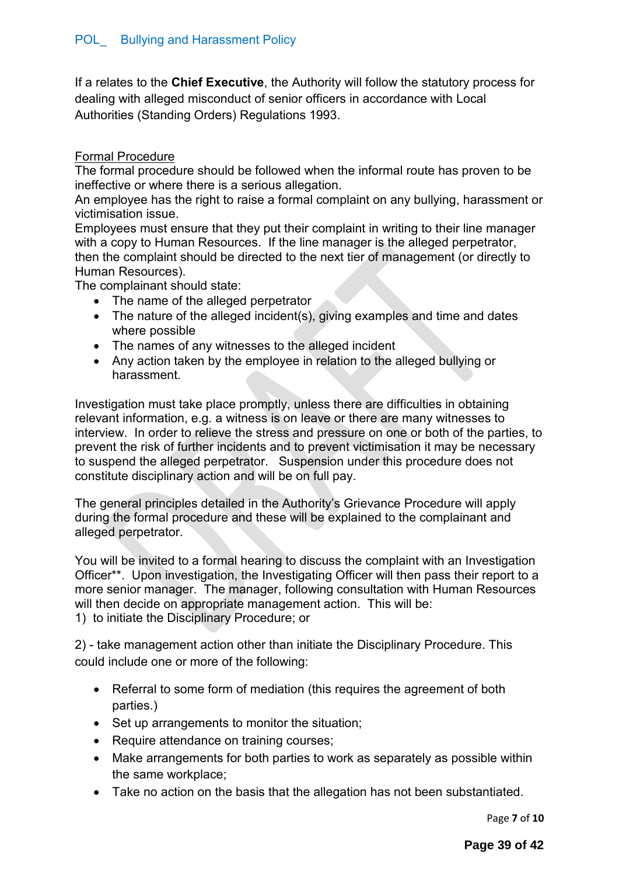If a relates to the **Chief Executive**, the Authority will follow the statutory process for dealing with alleged misconduct of senior officers in accordance with Local Authorities (Standing Orders) Regulations 1993.

#### Formal Procedure

The formal procedure should be followed when the informal route has proven to be ineffective or where there is a serious allegation.

An employee has the right to raise a formal complaint on any bullying, harassment or victimisation issue.

Employees must ensure that they put their complaint in writing to their line manager with a copy to Human Resources. If the line manager is the alleged perpetrator, then the complaint should be directed to the next tier of management (or directly to Human Resources).

The complainant should state:

- The name of the alleged perpetrator
- The nature of the alleged incident(s), giving examples and time and dates where possible
- The names of any witnesses to the alleged incident
- Any action taken by the employee in relation to the alleged bullying or harassment.

Investigation must take place promptly, unless there are difficulties in obtaining relevant information, e.g. a witness is on leave or there are many witnesses to interview. In order to relieve the stress and pressure on one or both of the parties, to prevent the risk of further incidents and to prevent victimisation it may be necessary to suspend the alleged perpetrator. Suspension under this procedure does not constitute disciplinary action and will be on full pay.

The general principles detailed in the Authority's Grievance Procedure will apply during the formal procedure and these will be explained to the complainant and alleged perpetrator.

You will be invited to a formal hearing to discuss the complaint with an Investigation Officer\*\*. Upon investigation, the Investigating Officer will then pass their report to a more senior manager. The manager, following consultation with Human Resources will then decide on appropriate management action. This will be: 1) to initiate the Disciplinary Procedure; or

2) - take management action other than initiate the Disciplinary Procedure. This could include one or more of the following:

- Referral to some form of mediation (this requires the agreement of both parties.)
- Set up arrangements to monitor the situation;
- Require attendance on training courses;
- Make arrangements for both parties to work as separately as possible within the same workplace;
- Take no action on the basis that the allegation has not been substantiated.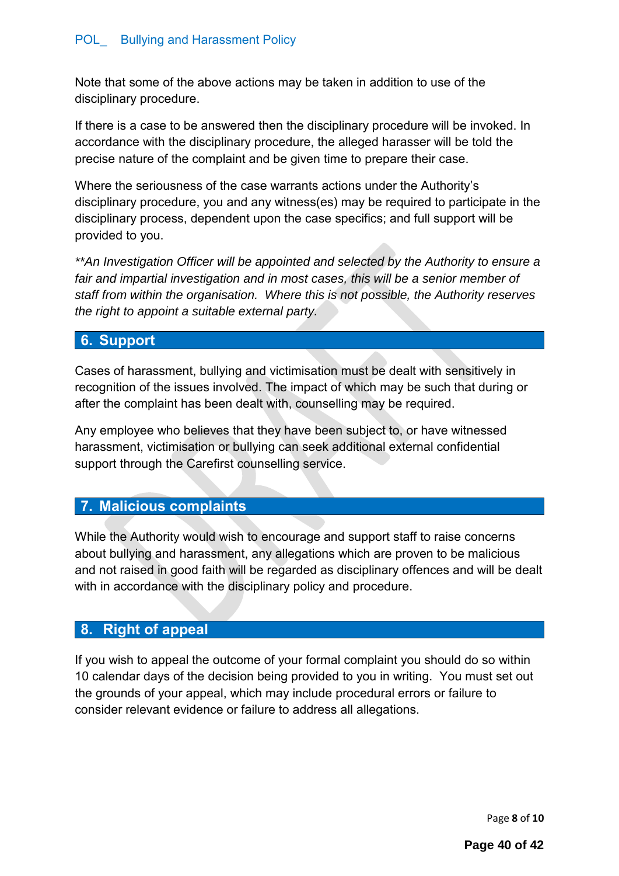Note that some of the above actions may be taken in addition to use of the disciplinary procedure.

If there is a case to be answered then the disciplinary procedure will be invoked. In accordance with the disciplinary procedure, the alleged harasser will be told the precise nature of the complaint and be given time to prepare their case.

Where the seriousness of the case warrants actions under the Authority's disciplinary procedure, you and any witness(es) may be required to participate in the disciplinary process, dependent upon the case specifics; and full support will be provided to you.

*\*\*An Investigation Officer will be appointed and selected by the Authority to ensure a fair and impartial investigation and in most cases, this will be a senior member of staff from within the organisation. Where this is not possible, the Authority reserves the right to appoint a suitable external party.* 

## <span id="page-7-0"></span>**6. Support**

Cases of harassment, bullying and victimisation must be dealt with sensitively in recognition of the issues involved. The impact of which may be such that during or after the complaint has been dealt with, counselling may be required.

Any employee who believes that they have been subject to, or have witnessed harassment, victimisation or bullying can seek additional external confidential support through the Carefirst counselling service.

## <span id="page-7-1"></span>**7. Malicious complaints**

While the Authority would wish to encourage and support staff to raise concerns about bullying and harassment, any allegations which are proven to be malicious and not raised in good faith will be regarded as disciplinary offences and will be dealt with in accordance with the disciplinary policy and procedure.

## <span id="page-7-2"></span>**8. Right of appeal**

If you wish to appeal the outcome of your formal complaint you should do so within 10 calendar days of the decision being provided to you in writing. You must set out the grounds of your appeal, which may include procedural errors or failure to consider relevant evidence or failure to address all allegations.

Page **8** of **10**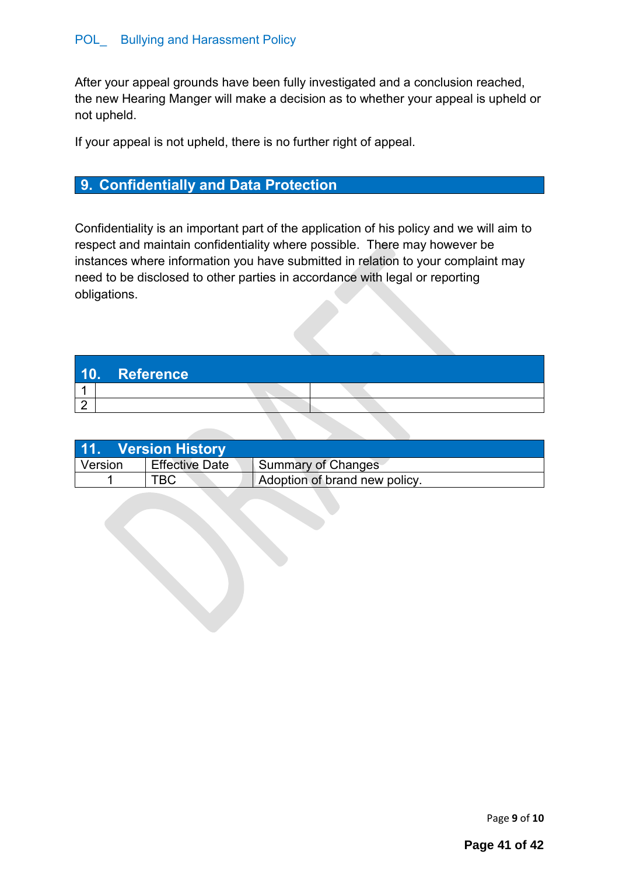After your appeal grounds have been fully investigated and a conclusion reached, the new Hearing Manger will make a decision as to whether your appeal is upheld or not upheld.

If your appeal is not upheld, there is no further right of appeal.

## <span id="page-8-0"></span>**9. Confidentially and Data Protection**

Confidentiality is an important part of the application of his policy and we will aim to respect and maintain confidentiality where possible. There may however be instances where information you have submitted in relation to your complaint may need to be disclosed to other parties in accordance with legal or reporting obligations.

<span id="page-8-1"></span>

|  | 10. Reference |  |  |
|--|---------------|--|--|
|  |               |  |  |
|  |               |  |  |

<span id="page-8-2"></span>

| 11. Version History |                       |                               |  |
|---------------------|-----------------------|-------------------------------|--|
| Version             | <b>Effective Date</b> | Summary of Changes            |  |
|                     |                       | Adoption of brand new policy. |  |